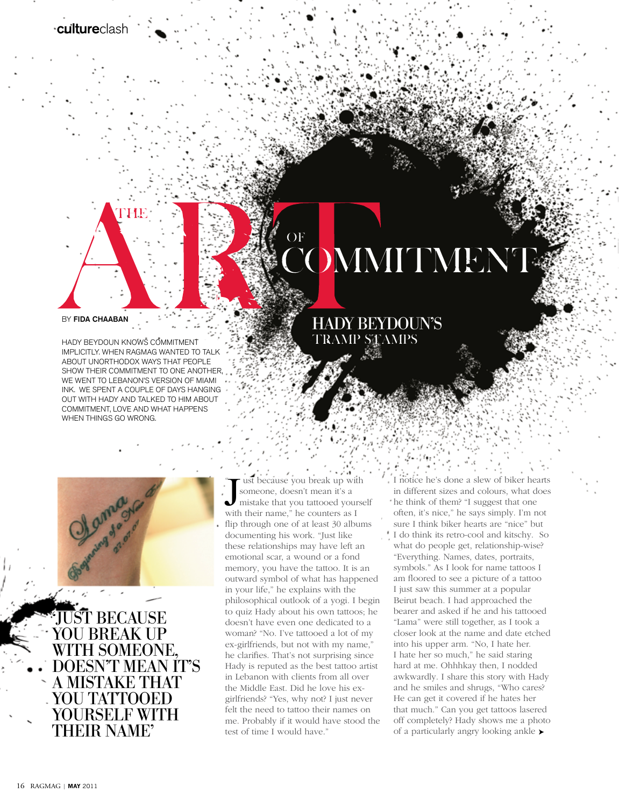

## BY FIDA CHAABAN

HADY BEYDOUN KNOWS COMMITMENT IMPLICITLY. WHEN RAGMAG WANTED TO TALK ABOUT UNORTHODOX WAYS THAT PEOPLE SHOW THEIR COMMITMENT TO ONE ANOTHER WE WENT TO LEBANON'S VERSION OF MIAMI INK. WE SPENT A COUPLE OF DAYS HANGING OUT WITH HADY AND TALKED TO HIM ABOUT COMMITMENT, LOVE AND WHAT HAPPENS WHEN THINGS GO WRONG.



**TUST BECAUSE** YOU BREAK UP WITH SOMEONE, DOESN'T MEAN IT'S A MISTAKE THAT YOU TATTOOED YOURSELF WITH THEIR NAME'

## **OF OMMITMENT**

## HADY BEYDOUN'S TRAMP STAMPS

ust because you break up with someone, doesn't mean it's a mistake that you tattooed yourself "Tust because you break up with someone, doesn't mean it's a mistake that you tattooed yours with their name," he counters as I flip through one of at least 30 albums documenting his work. "Just like these relationships may have left an emotional scar, a wound or a fond memory, you have the tattoo. It is an outward symbol of what has happened in your life," he explains with the philosophical outlook of a yogi. I begin to quiz Hady about his own tattoos; he doesn't have even one dedicated to a woman? "No. I've tattooed a lot of my ex-girlfriends, but not with my name," he clarifies. That's not surprising since Hady is reputed as the best tattoo artist in Lebanon with clients from all over the Middle East. Did he love his exgirlfriends? "Yes, why not? I just never felt the need to tattoo their names on me. Probably if it would have stood the test of time I would have."

I notice he's done a slew of biker hearts in different sizes and colours, what does he think of them? "I suggest that one often, it's nice," he says simply. I'm not sure I think biker hearts are "nice" but I do think its retro-cool and kitschy. So what do people get, relationship-wise? "Everything. Names, dates, portraits, symbols." As I look for name tattoos I am floored to see a picture of a tattoo I just saw this summer at a popular Beirut beach. I had approached the bearer and asked if he and his tattooed "Lama" were still together, as I took a closer look at the name and date etched into his upper arm. "No, I hate her. I hate her so much," he said staring hard at me. Ohhhkay then, I nodded awkwardly. I share this story with Hady and he smiles and shrugs, "Who cares? He can get it covered if he hates her that much." Can you get tattoos lasered off completely? Hady shows me a photo of a particularly angry looking ankle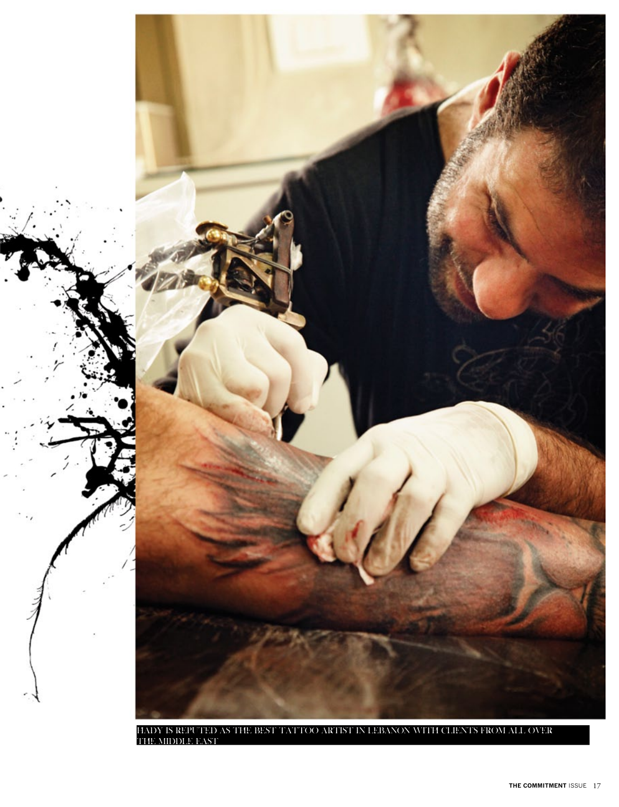

Hady is reputed as the best tattoo artist in Lebanon with clients from all over the Middle East.